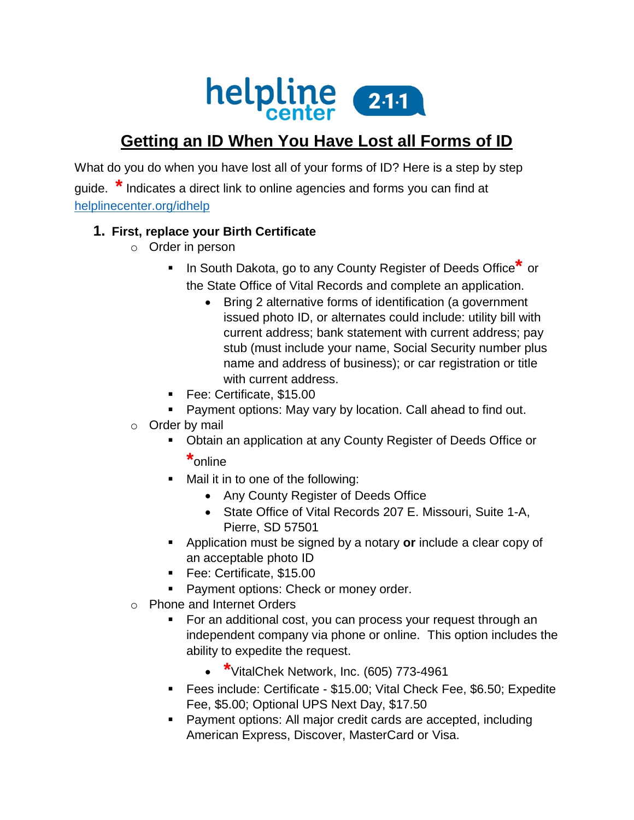

# **Getting an ID When You Have Lost all Forms of ID**

What do you do when you have lost all of your forms of ID? Here is a step by step guide. **\***Indicates a direct link to online agencies and forms you can find at [helplinecenter.org/idhelp](http://www.helplinecenter.org/idhelp)

#### **1. First, replace your Birth Certificate**

- o Order in person
	- In South Dakota, go to any County Register of Deeds Office<sup>\*</sup> or the State Office of Vital Records and complete an application.
		- Bring 2 alternative forms of identification (a government issued photo ID, or alternates could include: utility bill with current address; bank statement with current address; pay stub (must include your name, Social Security number plus name and address of business); or car registration or title with current address.
	- Fee: Certificate, \$15.00
	- **Payment options: May vary by location. Call ahead to find out.**
- o Order by mail
	- Obtain an application at any County Register of Deeds Office or **\***online
	- Mail it in to one of the following:
		- Any County Register of Deeds Office
		- State Office of Vital Records 207 E. Missouri, Suite 1-A, Pierre, SD 57501
	- Application must be signed by a notary **or** include a clear copy of an acceptable photo ID
	- Fee: Certificate, \$15.00
	- **Payment options: Check or money order.**
- o Phone and Internet Orders
	- For an additional cost, you can process your request through an independent company via phone or online. This option includes the ability to expedite the request.
		- **\***VitalChek Network, Inc. (605) 773-4961
	- Fees include: Certificate \$15.00; Vital Check Fee, \$6.50; Expedite Fee, \$5.00; Optional UPS Next Day, \$17.50
	- Payment options: All major credit cards are accepted, including American Express, Discover, MasterCard or Visa.